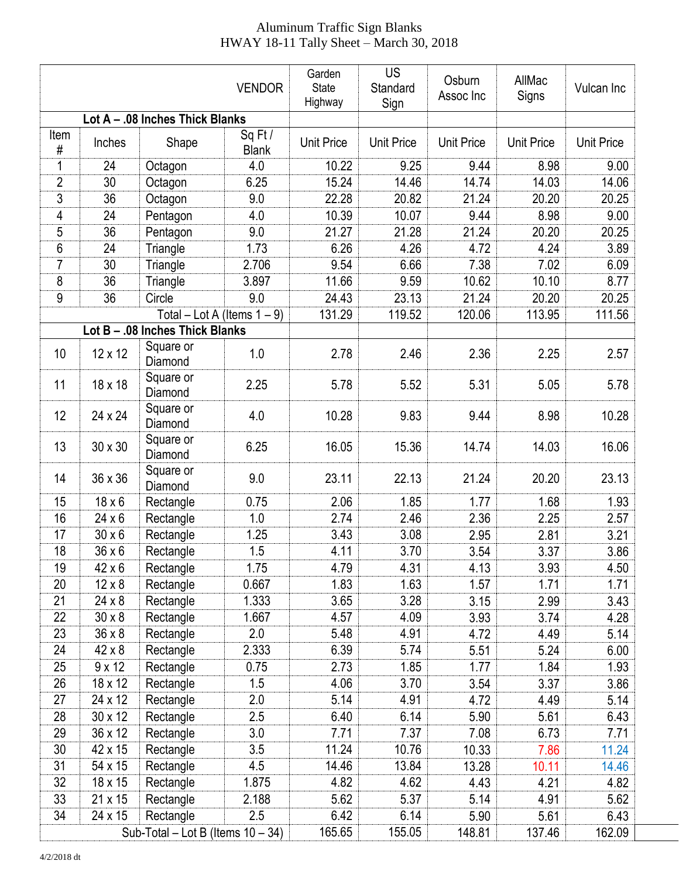## Aluminum Traffic Sign Blanks HWAY 18-11 Tally Sheet – March 30, 2018

|                |               |                                      | <b>VENDOR</b>                        | Garden<br><b>State</b><br>Highway | <b>US</b><br>Standard<br>Sign | Osburn<br>Assoc Inc | AllMac<br>Signs   | Vulcan Inc        |
|----------------|---------------|--------------------------------------|--------------------------------------|-----------------------------------|-------------------------------|---------------------|-------------------|-------------------|
|                |               | Lot A - .08 Inches Thick Blanks      |                                      |                                   |                               |                     |                   |                   |
| Item<br>#      | Inches        | Shape                                | Sq Ft $\overline{I}$<br><b>Blank</b> | <b>Unit Price</b>                 | <b>Unit Price</b>             | <b>Unit Price</b>   | <b>Unit Price</b> | <b>Unit Price</b> |
| 1              | 24            | Octagon                              | 4.0                                  | 10.22                             | 9.25                          | 9.44                | 8.98              | 9.00              |
| 2              | 30            | Octagon                              | 6.25                                 | 15.24                             | 14.46                         | 14.74               | 14.03             | 14.06             |
| 3              | 36            | Octagon                              | 9.0                                  | 22.28                             | 20.82                         | 21.24               | 20.20             | 20.25             |
| 4              | 24            | Pentagon                             | 4.0                                  | 10.39                             | 10.07                         | 9.44                | 8.98              | 9.00              |
| 5              | 36            | Pentagon                             | 9.0                                  | 21.27                             | 21.28                         | 21.24               | 20.20             | 20.25             |
| $6\,$          | 24            | Triangle                             | 1.73                                 | 6.26                              | 4.26                          | 4.72                | 4.24              | 3.89              |
| $\overline{7}$ | 30            | Triangle                             | 2.706                                | 9.54                              | 6.66                          | 7.38                | 7.02              | 6.09              |
| 8              | 36            | Triangle                             | 3.897                                | 11.66                             | 9.59                          | 10.62               | 10.10             | 8.77              |
| $9\,$          | 36            | Circle                               | 9.0                                  | 24.43                             | 23.13                         | 21.24               | 20.20             | 20.25             |
|                |               | Total - Lot A (Items $1 - 9$ )       |                                      | 131.29                            | 119.52                        | 120.06              | 113.95            | 111.56            |
|                |               | Lot B - .08 Inches Thick Blanks      |                                      |                                   |                               |                     |                   |                   |
| 10             | 12 x 12       | Square or<br>Diamond                 | 1.0                                  | 2.78                              | 2.46                          | 2.36                | 2.25              | 2.57              |
| 11             | 18 x 18       | Square or<br>Diamond                 | 2.25                                 | 5.78                              | 5.52                          | 5.31                | 5.05              | 5.78              |
| 12             | 24 x 24       | Square or<br>Diamond                 | 4.0                                  | 10.28                             | 9.83                          | 9.44                | 8.98              | 10.28             |
| 13             | 30 x 30       | Square or<br>Diamond                 | 6.25                                 | 16.05                             | 15.36                         | 14.74               | 14.03             | 16.06             |
| 14             | 36 x 36       | Square or<br>Diamond                 | 9.0                                  | 23.11                             | 22.13                         | 21.24               | 20.20             | 23.13             |
| 15             | $18 \times 6$ | Rectangle                            | 0.75                                 | 2.06                              | 1.85                          | 1.77                | 1.68              | 1.93              |
| 16             | $24 \times 6$ | Rectangle                            | 1.0                                  | 2.74                              | 2.46                          | 2.36                | 2.25              | 2.57              |
| 17             | $30 \times 6$ | Rectangle                            | 1.25                                 | 3.43                              | 3.08                          | 2.95                | 2.81              | 3.21              |
| 18             | $36 \times 6$ | Rectangle                            | 1.5                                  | 4.11                              | 3.70                          | 3.54                | 3.37              | 3.86              |
| 19             | 42 x 6        | Rectangle                            | 1.75                                 | 4.79                              | 4.31                          | 4.13                | 3.93              | 4.50              |
| 20             | $12 \times 8$ | Rectangle                            | 0.667                                | 1.83                              | 1.63                          | 1.57                | 1.71              | 1.71              |
| 21             | $24 \times 8$ | Rectangle                            | 1.333                                | 3.65                              | 3.28                          | 3.15                | 2.99              | 3.43              |
| 22             | $30 \times 8$ | Rectangle                            | 1.667                                | 4.57                              | 4.09                          | 3.93                | 3.74              | 4.28              |
| 23             | $36 \times 8$ | Rectangle                            | 2.0                                  | 5.48                              | 4.91                          | 4.72                | 4.49              | 5.14              |
| 24             | $42 \times 8$ | Rectangle                            | 2.333                                | 6.39                              | 5.74                          | 5.51                | 5.24              | 6.00              |
| 25             | $9 \times 12$ | Rectangle                            | 0.75                                 | 2.73                              | 1.85                          | 1.77                | 1.84              | 1.93              |
| 26             | 18 x 12       | Rectangle                            | 1.5                                  | 4.06                              | 3.70                          | 3.54                | 3.37              | 3.86              |
| 27             | 24 x 12       | Rectangle                            | 2.0                                  | 5.14                              | 4.91                          | 4.72                | 4.49              | 5.14              |
| 28             | 30 x 12       | Rectangle                            | 2.5                                  | 6.40                              | 6.14                          | 5.90                | 5.61              | 6.43              |
| 29             | 36 x 12       | Rectangle                            | 3.0                                  | 7.71                              | 7.37                          | 7.08                | 6.73              | 7.71              |
| 30             | 42 x 15       | Rectangle                            | 3.5                                  | 11.24                             | 10.76                         | 10.33               | 7.86              | 11.24             |
| 31             | 54 x 15       | Rectangle                            | 4.5                                  | 14.46                             | 13.84                         | 13.28               | 10.11             | 14.46             |
| 32             | 18 x 15       | Rectangle                            | 1.875                                | 4.82                              | 4.62                          | 4.43                | 4.21              | 4.82              |
| 33             | 21 x 15       | Rectangle                            | 2.188                                | 5.62                              | 5.37                          | 5.14                | 4.91              | 5.62              |
| 34             | 24 x 15       | Rectangle                            | 2.5                                  | 6.42                              | 6.14                          | 5.90                | 5.61              | 6.43              |
|                |               | Sub-Total – Lot B (Items $10 - 34$ ) |                                      | 165.65                            | 155.05                        | 148.81              | 137.46            | 162.09            |